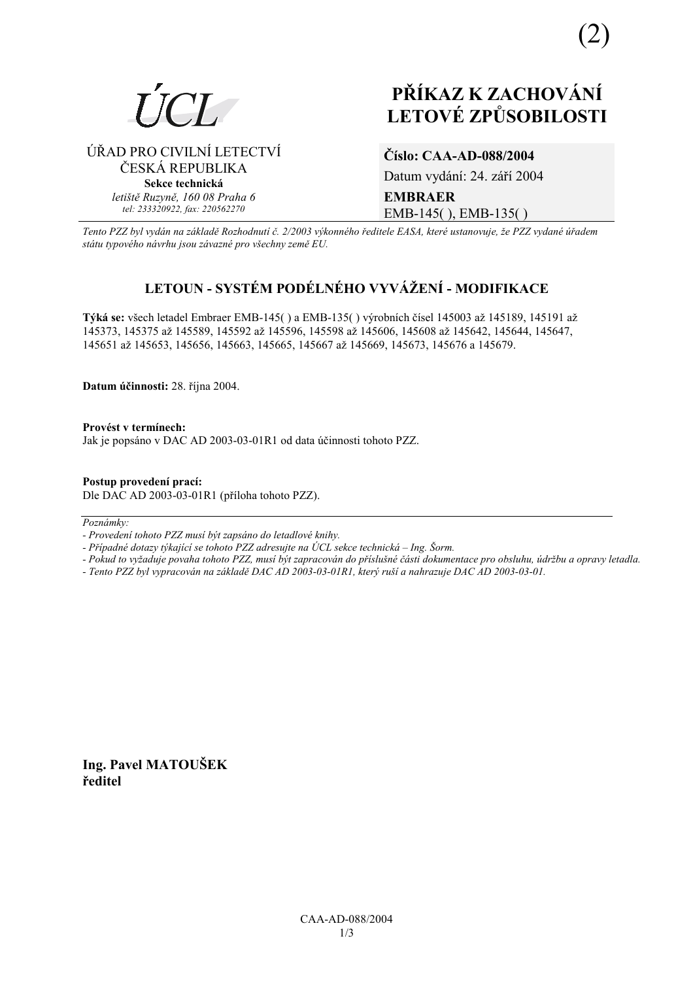

ÚŘAD PRO CIVILNÍ LETECTVÍ

ČESKÁ REPUBLIKA

Sekce technická letiště Ruzyně, 160 08 Praha 6

tel: 233320922, fax: 220562270

# PŘÍKAZ K ZACHOVÁNÍ **LETOVÉ ZPŮSOBILOSTI**

Číslo: CAA-AD-088/2004

Datum vydání: 24. září 2004 **EMBRAER** EMB-145(), EMB-135()

Tento PZZ byl vydán na základě Rozhodnutí č. 2/2003 výkonného ředitele EASA, které ustanovuje, že PZZ vydané úřadem státu typového návrhu jsou závazné pro všechny země EU.

# LETOUN - SYSTÉM PODÉLNÉHO VYVÁŽENÍ - MODIFIKACE

Týká se: všech letadel Embraer EMB-145() a EMB-135() výrobních čísel 145003 až 145189, 145191 až 145373, 145375 až 145589, 145592 až 145596, 145598 až 145606, 145608 až 145642, 145644, 145647, 145651 až 145653, 145656, 145663, 145665, 145667 až 145669, 145673, 145676 a 145679.

Datum účinnosti: 28. října 2004.

Provést v termínech: Jak je popsáno v DAC AD 2003-03-01R1 od data účinnosti tohoto PZZ.

Postup provedení prací: Dle DAC AD 2003-03-01R1 (příloha tohoto PZZ).

Poznámky:

- Provedení tohoto PZZ musí být zapsáno do letadlové knihy.

- Případné dotazy týkající se tohoto PZZ adresujte na ÚCL sekce technická – Ing. Šorm.

- Pokud to vyžaduje povaha tohoto PZZ, musí být zapracován do příslušné části dokumentace pro obsluhu, údržbu a opravy letadla.

- Tento PZZ byl vypracován na základě DAC AD 2003-03-01R1, který ruší a nahrazuje DAC AD 2003-03-01.

Ing. Pavel MATOUŠEK ředitel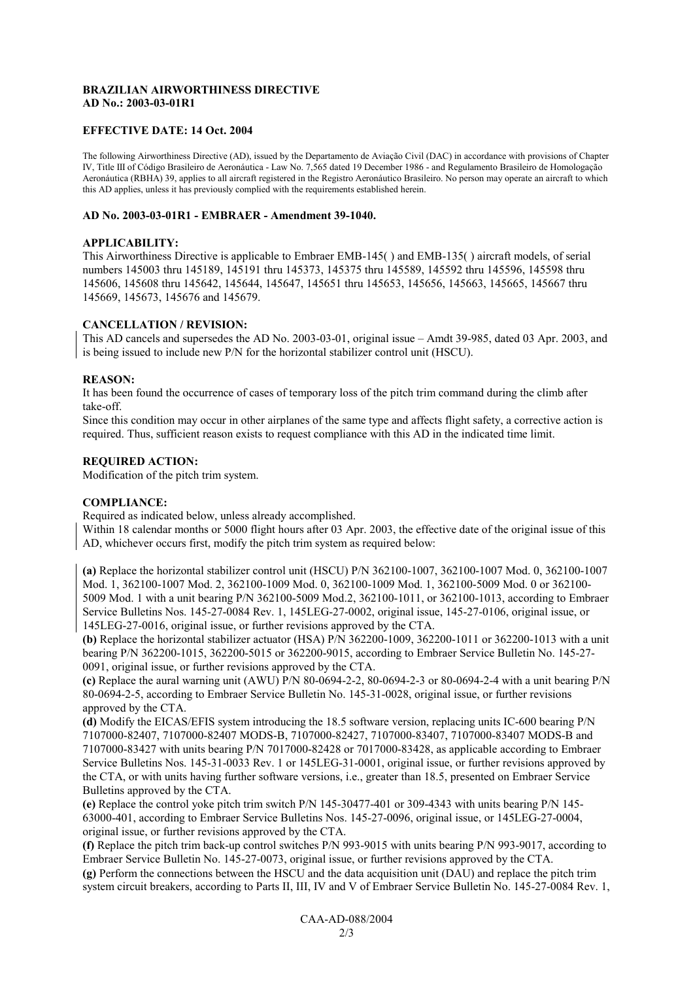## **BRAZILIAN AIRWORTHINESS DIRECTIVE AD No.: 2003-03-01R1**

#### **EFFECTIVE DATE: 14 Oct. 2004**

The following Airworthiness Directive (AD), issued by the Departamento de Aviação Civil (DAC) in accordance with provisions of Chapter IV, Title III of Código Brasileiro de Aeronáutica - Law No. 7,565 dated 19 December 1986 - and Regulamento Brasileiro de Homologação Aeronáutica (RBHA) 39, applies to all aircraft registered in the Registro Aeronáutico Brasileiro. No person may operate an aircraft to which this AD applies, unless it has previously complied with the requirements established herein.

#### **AD No. 2003-03-01R1 - EMBRAER - Amendment 39-1040.**

#### **APPLICABILITY:**

This Airworthiness Directive is applicable to Embraer EMB-145( ) and EMB-135( ) aircraft models, of serial numbers 145003 thru 145189, 145191 thru 145373, 145375 thru 145589, 145592 thru 145596, 145598 thru 145606, 145608 thru 145642, 145644, 145647, 145651 thru 145653, 145656, 145663, 145665, 145667 thru 145669, 145673, 145676 and 145679.

### **CANCELLATION / REVISION:**

This AD cancels and supersedes the AD No. 2003-03-01, original issue – Amdt 39-985, dated 03 Apr. 2003, and is being issued to include new P/N for the horizontal stabilizer control unit (HSCU).

#### **REASON:**

It has been found the occurrence of cases of temporary loss of the pitch trim command during the climb after take-off.

Since this condition may occur in other airplanes of the same type and affects flight safety, a corrective action is required. Thus, sufficient reason exists to request compliance with this AD in the indicated time limit.

#### **REQUIRED ACTION:**

Modification of the pitch trim system.

#### **COMPLIANCE:**

Required as indicated below, unless already accomplished.

Within 18 calendar months or 5000 flight hours after 03 Apr. 2003, the effective date of the original issue of this AD, whichever occurs first, modify the pitch trim system as required below:

**(a)** Replace the horizontal stabilizer control unit (HSCU) P/N 362100-1007, 362100-1007 Mod. 0, 362100-1007 Mod. 1, 362100-1007 Mod. 2, 362100-1009 Mod. 0, 362100-1009 Mod. 1, 362100-5009 Mod. 0 or 362100- 5009 Mod. 1 with a unit bearing P/N 362100-5009 Mod.2, 362100-1011, or 362100-1013, according to Embraer Service Bulletins Nos. 145-27-0084 Rev. 1, 145LEG-27-0002, original issue, 145-27-0106, original issue, or 145LEG-27-0016, original issue, or further revisions approved by the CTA.

**(b)** Replace the horizontal stabilizer actuator (HSA) P/N 362200-1009, 362200-1011 or 362200-1013 with a unit bearing P/N 362200-1015, 362200-5015 or 362200-9015, according to Embraer Service Bulletin No. 145-27- 0091, original issue, or further revisions approved by the CTA.

**(c)** Replace the aural warning unit (AWU) P/N 80-0694-2-2, 80-0694-2-3 or 80-0694-2-4 with a unit bearing P/N 80-0694-2-5, according to Embraer Service Bulletin No. 145-31-0028, original issue, or further revisions approved by the CTA.

**(d)** Modify the EICAS/EFIS system introducing the 18.5 software version, replacing units IC-600 bearing P/N 7107000-82407, 7107000-82407 MODS-B, 7107000-82427, 7107000-83407, 7107000-83407 MODS-B and 7107000-83427 with units bearing P/N 7017000-82428 or 7017000-83428, as applicable according to Embraer Service Bulletins Nos. 145-31-0033 Rev. 1 or 145LEG-31-0001, original issue, or further revisions approved by the CTA, or with units having further software versions, i.e., greater than 18.5, presented on Embraer Service Bulletins approved by the CTA.

**(e)** Replace the control yoke pitch trim switch P/N 145-30477-401 or 309-4343 with units bearing P/N 145- 63000-401, according to Embraer Service Bulletins Nos. 145-27-0096, original issue, or 145LEG-27-0004, original issue, or further revisions approved by the CTA.

**(f)** Replace the pitch trim back-up control switches P/N 993-9015 with units bearing P/N 993-9017, according to Embraer Service Bulletin No. 145-27-0073, original issue, or further revisions approved by the CTA. **(g)** Perform the connections between the HSCU and the data acquisition unit (DAU) and replace the pitch trim system circuit breakers, according to Parts II, III, IV and V of Embraer Service Bulletin No. 145-27-0084 Rev. 1,